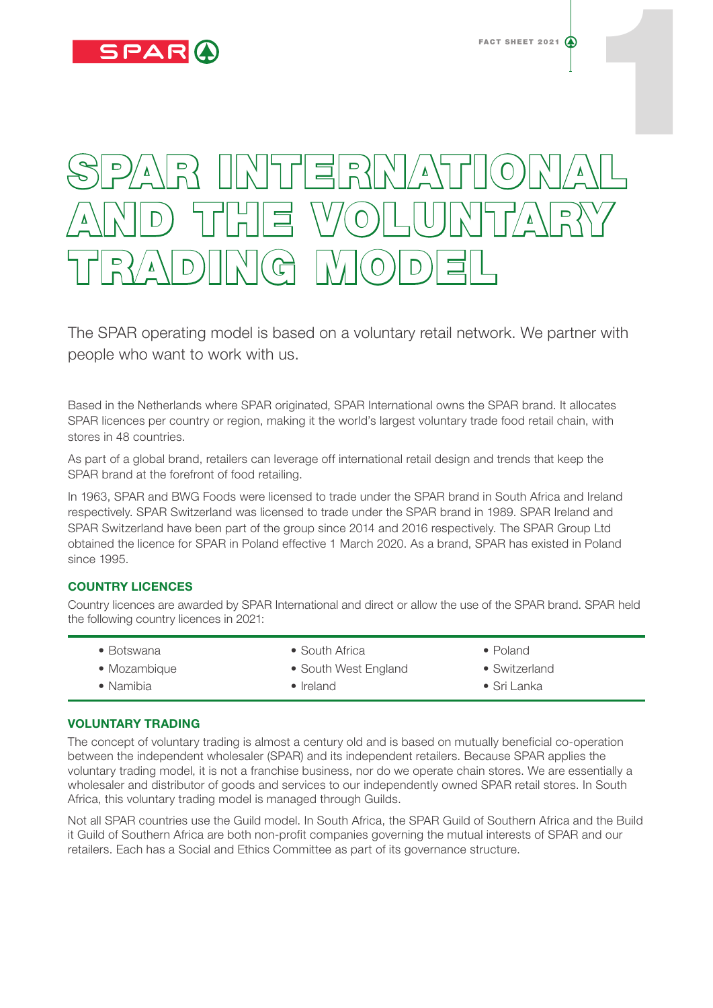

# SPAR INTERNATIONAL 1 AND THE VOLUNTARY TRADING MODEL

The SPAR operating model is based on a voluntary retail network. We partner with people who want to work with us.

Based in the Netherlands where SPAR originated, SPAR International owns the SPAR brand. It allocates SPAR licences per country or region, making it the world's largest voluntary trade food retail chain, with stores in 48 countries.

As part of a global brand, retailers can leverage off international retail design and trends that keep the SPAR brand at the forefront of food retailing.

In 1963, SPAR and BWG Foods were licensed to trade under the SPAR brand in South Africa and Ireland respectively. SPAR Switzerland was licensed to trade under the SPAR brand in 1989. SPAR Ireland and SPAR Switzerland have been part of the group since 2014 and 2016 respectively. The SPAR Group Ltd obtained the licence for SPAR in Poland effective 1 March 2020. As a brand, SPAR has existed in Poland since 1995.

# COUNTRY LICENCES

Country licences are awarded by SPAR International and direct or allow the use of the SPAR brand. SPAR held the following country licences in 2021:

| $\bullet$ Botswana | • South Africa       | $\bullet$ Poland      |
|--------------------|----------------------|-----------------------|
| • Mozambique       | • South West England | $\bullet$ Switzerland |
| $\bullet$ Namibia  | $\bullet$ Ireland    | $\bullet$ Sri Lanka   |

# VOLUNTARY TRADING

The concept of voluntary trading is almost a century old and is based on mutually beneficial co-operation between the independent wholesaler (SPAR) and its independent retailers. Because SPAR applies the voluntary trading model, it is not a franchise business, nor do we operate chain stores. We are essentially a wholesaler and distributor of goods and services to our independently owned SPAR retail stores. In South Africa, this voluntary trading model is managed through Guilds.

Not all SPAR countries use the Guild model. In South Africa, the SPAR Guild of Southern Africa and the Build it Guild of Southern Africa are both non-profit companies governing the mutual interests of SPAR and our retailers. Each has a Social and Ethics Committee as part of its governance structure.